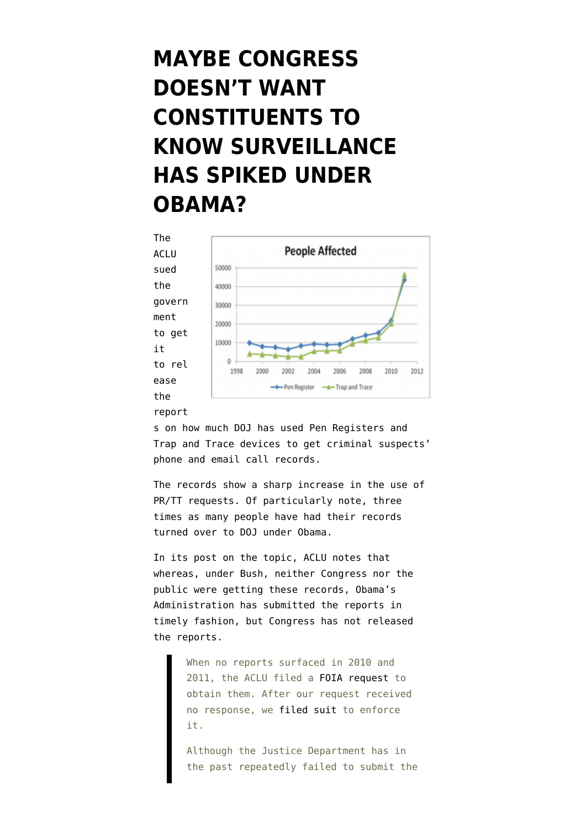## **[MAYBE CONGRESS](https://www.emptywheel.net/2012/09/27/maybe-congress-doesnt-want-constituents-to-know-surveillance-has-spiked-under-obama/) [DOESN'T WANT](https://www.emptywheel.net/2012/09/27/maybe-congress-doesnt-want-constituents-to-know-surveillance-has-spiked-under-obama/) [CONSTITUENTS TO](https://www.emptywheel.net/2012/09/27/maybe-congress-doesnt-want-constituents-to-know-surveillance-has-spiked-under-obama/) [KNOW SURVEILLANCE](https://www.emptywheel.net/2012/09/27/maybe-congress-doesnt-want-constituents-to-know-surveillance-has-spiked-under-obama/) [HAS SPIKED UNDER](https://www.emptywheel.net/2012/09/27/maybe-congress-doesnt-want-constituents-to-know-surveillance-has-spiked-under-obama/) [OBAMA?](https://www.emptywheel.net/2012/09/27/maybe-congress-doesnt-want-constituents-to-know-surveillance-has-spiked-under-obama/)**



s on how much DOJ has used Pen Registers and Trap and Trace devices to get criminal suspects' phone and email call records.

The [records](https://www.aclu.org/technology-and-liberty/pen-register-trap-and-trace-foia-request-documents-released-department) show a sharp increase in the use of PR/TT requests. Of particularly note, three times as many people have had their records turned over to DOJ under Obama.

In its post on the topic, ACLU [notes](http://www.aclu.org/blog/national-security-technology-and-liberty/new-justice-department-documents-show-huge-increase) that whereas, under Bush, neither Congress nor the public were getting these records, Obama's Administration has submitted the reports in timely fashion, but Congress has not released the reports.

> When no reports surfaced in 2010 and 2011, the ACLU filed a [FOIA request](https://www.aclu.org/files/assets/pen_register-trap_and_trace_foia_request.pdf) to obtain them. After our request received no response, we [filed suit](https://www.aclu.org/files/assets/2012_05_03_-_filed_complaint.pdf) to enforce it.

Although the Justice Department has in the past repeatedly failed to submit the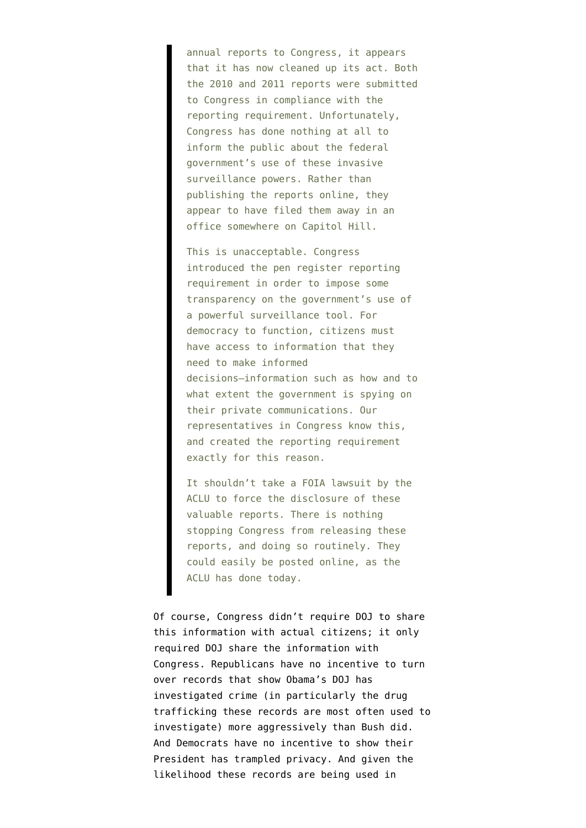annual reports to Congress, it appears that it has now cleaned up its act. Both the 2010 and 2011 reports were submitted to Congress in compliance with the reporting requirement. Unfortunately, Congress has done nothing at all to inform the public about the federal government's use of these invasive surveillance powers. Rather than publishing the reports online, they appear to have filed them away in an office somewhere on Capitol Hill.

This is unacceptable. Congress introduced the pen register reporting requirement in order to impose some transparency on the government's use of a powerful surveillance tool. For democracy to function, citizens must have access to information that they need to make informed decisions—information such as how and to what extent the government is spying on their private communications. Our representatives in Congress know this, and created the reporting requirement exactly for this reason.

It shouldn't take a FOIA lawsuit by the ACLU to force the disclosure of these valuable reports. There is nothing stopping Congress from releasing these reports, and doing so routinely. They could easily be posted online, as the ACLU has done today.

Of course, Congress didn't require DOJ to share this information with actual citizens; it only required DOJ share the information with Congress. Republicans have no incentive to turn over records that show Obama's DOJ has investigated crime (in particularly the drug trafficking these records are most often used to investigate) more aggressively than Bush did. And Democrats have no incentive to show their President has trampled privacy. And given the likelihood these records are being used in